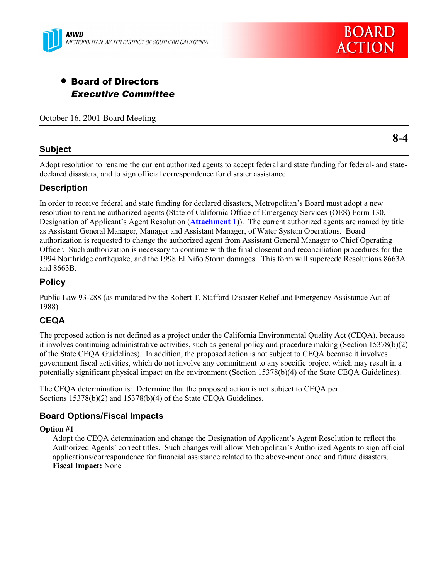



# • Board of Directors *Executive Committee*

October 16, 2001 Board Meeting

#### **Subject**

**8-4**

Adopt resolution to rename the current authorized agents to accept federal and state funding for federal- and statedeclared disasters, and to sign official correspondence for disaster assistance

### **Description**

In order to receive federal and state funding for declared disasters, Metropolitanís Board must adopt a new resolution to rename authorized agents (State of California Office of Emergency Services (OES) Form 130, Designation of Applicant's Agent Resolution (**Attachment 1**)). The current authorized agents are named by title as Assistant General Manager, Manager and Assistant Manager, of Water System Operations. Board authorization is requested to change the authorized agent from Assistant General Manager to Chief Operating Officer. Such authorization is necessary to continue with the final closeout and reconciliation procedures for the 1994 Northridge earthquake, and the 1998 El Niño Storm damages. This form will supercede Resolutions 8663A and 8663B.

#### **Policy**

Public Law 93-288 (as mandated by the Robert T. Stafford Disaster Relief and Emergency Assistance Act of 1988)

### **CEQA**

The proposed action is not defined as a project under the California Environmental Quality Act (CEQA), because it involves continuing administrative activities, such as general policy and procedure making (Section 15378(b)(2) of the State CEQA Guidelines). In addition, the proposed action is not subject to CEQA because it involves government fiscal activities, which do not involve any commitment to any specific project which may result in a potentially significant physical impact on the environment (Section 15378(b)(4) of the State CEQA Guidelines).

The CEQA determination is: Determine that the proposed action is not subject to CEQA per Sections 15378(b)(2) and 15378(b)(4) of the State CEQA Guidelines.

### **Board Options/Fiscal Impacts**

#### **Option #1**

Adopt the CEQA determination and change the Designation of Applicant's Agent Resolution to reflect the Authorized Agents' correct titles. Such changes will allow Metropolitan's Authorized Agents to sign official applications/correspondence for financial assistance related to the above-mentioned and future disasters. **Fiscal Impact:** None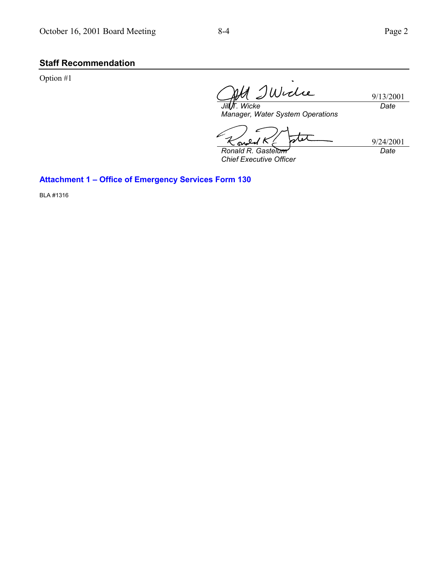# **Staff Recommendation**

Option #1

Widie *Jill T. Wicke*

9/13/2001 *Date*

*Manager, Water System Operations*

stet ഹ

*Ronald R. Gastelum Chief Executive Officer* 9/24/2001 *Date*

**Attachment 1 - Office of Emergency Services Form 130** 

BLA #1316